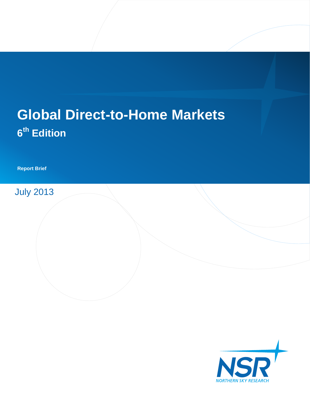# **Global Direct-to-Home Markets 6 th Edition**

**Report Brief**

July 2013

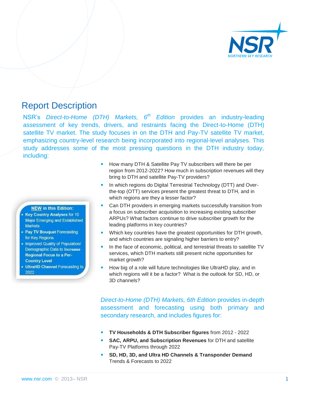

### Report Description

NSR's *Direct-to-Home (DTH) Markets, 6th Edition* provides an industry-leading assessment of key trends, drivers, and restraints facing the Direct-to-Home (DTH) satellite TV market. The study focuses in on the DTH and Pay-TV satellite TV market, emphasizing country-level research being incorporated into regional-level analyses. This study addresses some of the most pressing questions in the DTH industry today, including:

#### **NEW in this Edition:**

- **Key Country Analyses for 10 Major Emerging and Established** Markets
- Pay TV Bouquet Forecasting for Key Regions
- . Improved Quality of Population/ Demographic Data to Increase **Regional Focus to a Per-Country Level**
- **UltraHD Channel Forecasting to** 2022
- How many DTH & Satellite Pay TV subscribers will there be per region from 2012-2022? How much in subscription revenues will they bring to DTH and satellite Pay-TV providers?
- In which regions do Digital Terrestrial Technology (DTT) and Overthe-top (OTT) services present the greatest threat to DTH, and in which regions are they a lesser factor?
- Can DTH providers in emerging markets successfully transition from a focus on subscriber acquisition to increasing existing subscriber ARPUs? What factors continue to drive subscriber growth for the leading platforms in key countries?
- Which key countries have the greatest opportunities for DTH growth, and which countries are signaling higher barriers to entry?
- In the face of economic, political, and terrestrial threats to satellite TV services, which DTH markets still present niche opportunities for market growth?
- How big of a role will future technologies like UltraHD play, and in which regions will it be a factor? What is the outlook for SD, HD, or 3D channels?

*Direct-to-Home (DTH) Markets, 6th Edition* provides in-depth assessment and forecasting using both primary and secondary research, and includes figures for:

- **TV Households & DTH Subscriber figures** from 2012 2022
- **SAC, ARPU, and Subscription Revenues** for DTH and satellite Pay-TV Platforms through 2022
- **SD, HD, 3D, and Ultra HD Channels & Transponder Demand** Trends & Forecasts to 2022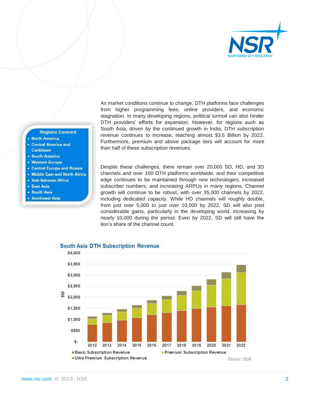

As market conditions continue to change, DTH platforms face challenges from higher programming fees, online providers, and economic stagnation. In many developing regions, political turmoil can also hinder DTH providers' efforts for expansion. However, for regions such as South Asia, driven by the continued growth in India, DTH subscription revenue continues to increase, reaching almost \$3.5 Billion by 2022. Furthermore, premium and above package tiers will account for more than half of these subscription revenues.

Despite these challenges, there remain over 20,000 SD, HD, and 3D channels and over 100 DTH platforms worldwide, and their competitive edge continues to be maintained through new technologies, increased subscriber numbers, and increasing ARPUs in many regions. Channel growth will continue to be robust, with over 35,000 channels by 2022, including dedicated capacity. While HD channels will roughly double, from just over 5,000 to just over 10,000 by 2022, SD will also post considerable gains, particularly in the developing world, increasing by nearly 10,000 during the period. Even by 2022, SD will still have the lion's share of the channel count.



#### **South Asia DTH Subscription Revenue**

**Regions Covered:** 

• Central Europe and Russia • Middle East and North Africa

· Sub-Saharan Africa

· East Asia · South Asia • Southeast Asia

**North America** • Central America and Caribbean **• South America** • Western Europe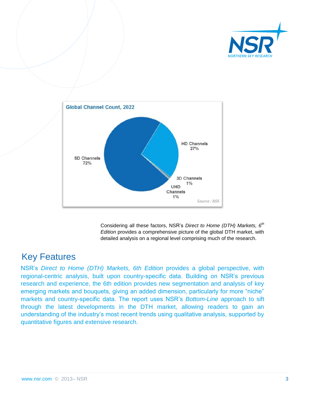



Considering all these factors, NSR's *Direct to Home (DTH) Markets, 6th Edition* provides a comprehensive picture of the global DTH market, with detailed analysis on a regional level comprising much of the research.

### Key Features

NSR's *Direct to Home (DTH) Markets, 6th Edition* provides a global perspective, with regional-centric analysis, built upon country-specific data. Building on NSR's previous research and experience, the 6th edition provides new segmentation and analysis of key emerging markets and bouquets, giving an added dimension, particularly for more "niche" markets and country-specific data. The report uses NSR's *Bottom-Line* approach to sift through the latest developments in the DTH market, allowing readers to gain an understanding of the industry's most recent trends using qualitative analysis, supported by quantitative figures and extensive research.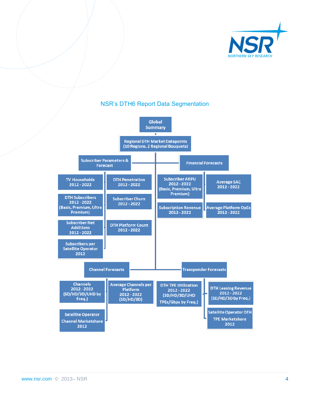

#### **Global Summary** т **Regional DTH Market Datapoints** (10 Regions, 2 Regional Bouquets) **Subscriber Parameters & Financial Forecasts** Forecast **Subscriber ARPU TV Households DTH Penetration** Average SAC 2012 - 2022 2012 - 2022 2012 - 2022 2012 - 2022 (Basic, Premium, Ultra Premium) **DTH Subscribers Subscriber Churn** 2012 - 2022 2012 - 2022 (Basic, Premium, Ultra **Subscription Revenue Average Platform OpEx** Premium) 2012 - 2022 2012 - 2022 **Subscriber Net DTH Platform Count Additions** 2012 - 2022 2012 - 2022 **Subscribers per Satellite Operator** 2012 **Channel Forecasts Transponder Forecasts Channels Average Channels per DTH TPE Utilization DTH Leasing Revenue** 2012 - 2022

2012 - 2022

(SD/HD/3D/UHD

TPEs/Gbps by Freq.)

2012 - 2022

(SD/HD/3D by Freq.)

**Satellite Operator DTH** 

**TPE Marketshare** 

2012

Platform

2012 - 2022

 $(SD/HD/3D)$ 

### NSR's DTH6 Report Data Segmentation

**Satellite Operator Channel Marketshare** 2012

(SD/HD/3D/UHD by

Freq.)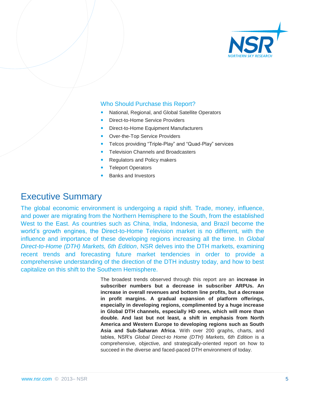

#### Who Should Purchase this Report?

- National, Regional, and Global Satellite Operators
- Direct-to-Home Service Providers
- Direct-to-Home Equipment Manufacturers
- Over-the-Top Service Providers
- Telcos providing "Triple-Play" and "Quad-Play" services
- Television Channels and Broadcasters
- Regulators and Policy makers
- Teleport Operators
- Banks and Investors

### Executive Summary

The global economic environment is undergoing a rapid shift. Trade, money, influence, and power are migrating from the Northern Hemisphere to the South, from the established West to the East. As countries such as China, India, Indonesia, and Brazil become the world's growth engines, the Direct-to-Home Television market is no different, with the influence and importance of these developing regions increasing all the time. In *Global Direct-to-Home (DTH) Markets, 6th Edition*, NSR delves into the DTH markets, examining recent trends and forecasting future market tendencies in order to provide a comprehensive understanding of the direction of the DTH industry today, and how to best capitalize on this shift to the Southern Hemisphere.

> The broadest trends observed through this report are an **increase in subscriber numbers but a decrease in subscriber ARPUs. An increase in overall revenues and bottom line profits, but a decrease in profit margins. A gradual expansion of platform offerings, especially in developing regions, complimented by a huge increase in Global DTH channels, especially HD ones, which will more than double. And last but not least, a shift in emphasis from North America and Western Europe to developing regions such as South Asia and Sub-Saharan Africa**. With over 200 graphs, charts, and tables, NSR's *Global Direct-to Home (DTH) Markets, 6th Edition* is a comprehensive, objective, and strategically-oriented report on how to succeed in the diverse and faced-paced DTH environment of today.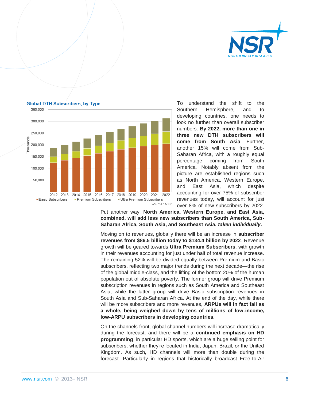



**Global DTH Subscribers, by Type** 

To understand the shift to the Southern Hemisphere, and to developing countries, one needs to look no further than overall subscriber numbers. **By 2022, more than one in three new DTH subscribers will come from South Asia**. Further, another 15% will come from Sub-Saharan Africa, with a roughly equal percentage coming from South America. Notably absent from the picture are established regions such as North America, Western Europe, and East Asia, which despite accounting for over 75% of subscriber revenues today, will account for just over 8% of new subscribers by 2022.

Put another way, **North America, Western Europe, and East Asia, combined, will add less new subscribers than South America, Sub-Saharan Africa, South Asia, and Southeast Asia,** *taken individually***.**

Moving on to revenues, globally there will be an increase in **subscriber revenues from \$86.5 billion today to \$134.4 billion by 2022**. Revenue growth will be geared towards **Ultra Premium Subscribers**, with growth in their revenues accounting for just under half of total revenue increase. The remaining 52% will be divided equally between Premium and Basic subscribers, reflecting two major trends during the next decade—the rise of the global middle-class, and the lifting of the bottom 20% of the human population out of absolute poverty. The former group will drive Premium subscription revenues in regions such as South America and Southeast Asia, while the latter group will drive Basic subscription revenues in South Asia and Sub-Saharan Africa. At the end of the day, while there will be more subscribers and more revenues, **ARPUs will in fact fall as a whole, being weighed down by tens of millions of low-income, low-ARPU subscribers in developing countries.**

On the channels front, global channel numbers will increase dramatically during the forecast, and there will be a **continued emphasis on HD programming**, in particular HD sports, which are a huge selling point for subscribers, whether they're located in India, Japan, Brazil, or the United Kingdom. As such, HD channels will more than double during the forecast. Particularly in regions that historically broadcast Free-to-Air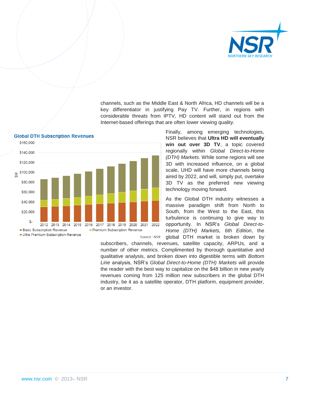

channels, such as the Middle East & North Africa, HD channels will be a key differentiator in justifying Pay TV. Further, in regions with considerable threats from IPTV, HD content will stand out from the Internet-based offerings that are often lower viewing quality.

> Finally, among emerging technologies, NSR believes that **Ultra HD will eventually win out over 3D TV**, a topic covered regionally within *Global Direct-to-Home (DTH) Markets*. While some regions will see 3D with increased influence, on a global scale, UHD will have more channels being aired by 2022, and will, simply put, overtake 3D TV as the preferred new viewing technology moving forward.

As the Global DTH industry witnesses a massive paradigm shift from North to South, from the West to the East, this turbulence is continuing to give way to opportunity. In NSR's *Global Direct-to-Home (DTH) Markets, 6th Edition*, the global DTH market is broken down by

subscribers, channels, revenues, satellite capacity, ARPUs, and a number of other metrics. Complimented by thorough quantitative and qualitative analysis, and broken down into digestible terms with *Bottom Line* analysis, NSR's *Global Direct-to-Home (DTH) Markets* will provide the reader with the best way to capitalize on the \$48 billion in new yearly revenues coming from 125 million new subscribers in the global DTH industry, be it as a satellite operator, DTH platform, equipment provider, or an investor.

2022

Source: NSR

2021



\$160,000 \$140,000

\$120,000 \$100,000

> \$80,000 \$60,000 \$40,000

> \$20,000  $$$

2012

**Basic Subscription Revenue** 

2013

Ultra Premium Subscription Revenue

 $2014$ 

2015

2016

2017

2018 2019 2020

Premium Subscription Revenue

 $\sum_{i=1}^{n}$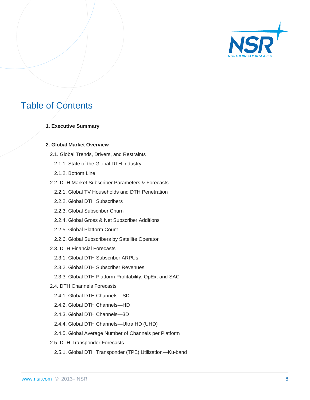

## Table of Contents

**1. Executive Summary** 

#### **2. Global Market Overview**

- 2.1. Global Trends, Drivers, and Restraints
	- 2.1.1. State of the Global DTH Industry
	- 2.1.2. Bottom Line
- 2.2. DTH Market Subscriber Parameters & Forecasts
	- 2.2.1. Global TV Households and DTH Penetration
	- 2.2.2. Global DTH Subscribers
	- 2.2.3. Global Subscriber Churn
	- 2.2.4. Global Gross & Net Subscriber Additions
	- 2.2.5. Global Platform Count
	- 2.2.6. Global Subscribers by Satellite Operator
- 2.3. DTH Financial Forecasts
	- 2.3.1. Global DTH Subscriber ARPUs
	- 2.3.2. Global DTH Subscriber Revenues
	- 2.3.3. Global DTH Platform Profitability, OpEx, and SAC
- 2.4. DTH Channels Forecasts
	- 2.4.1. Global DTH Channels—SD
	- 2.4.2. Global DTH Channels—HD
	- 2.4.3. Global DTH Channels—3D
	- 2.4.4. Global DTH Channels—Ultra HD (UHD)
	- 2.4.5. Global Average Number of Channels per Platform
- 2.5. DTH Transponder Forecasts
	- 2.5.1. Global DTH Transponder (TPE) Utilization—Ku-band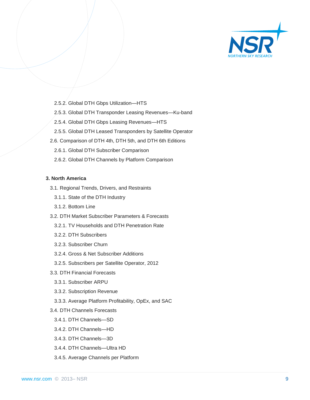

- 2.5.2. Global DTH Gbps Utilization—HTS
- 2.5.3. Global DTH Transponder Leasing Revenues—Ku-band
- 2.5.4. Global DTH Gbps Leasing Revenues—HTS
- 2.5.5. Global DTH Leased Transponders by Satellite Operator
- 2.6. Comparison of DTH 4th, DTH 5th, and DTH 6th Editions
	- 2.6.1. Global DTH Subscriber Comparison
	- 2.6.2. Global DTH Channels by Platform Comparison

#### **3. North America**

- 3.1. Regional Trends, Drivers, and Restraints
	- 3.1.1. State of the DTH Industry
	- 3.1.2. Bottom Line
- 3.2. DTH Market Subscriber Parameters & Forecasts
	- 3.2.1. TV Households and DTH Penetration Rate
	- 3.2.2. DTH Subscribers
	- 3.2.3. Subscriber Churn
	- 3.2.4. Gross & Net Subscriber Additions
	- 3.2.5. Subscribers per Satellite Operator, 2012
- 3.3. DTH Financial Forecasts
	- 3.3.1. Subscriber ARPU
	- 3.3.2. Subscription Revenue
	- 3.3.3. Average Platform Profitability, OpEx, and SAC
- 3.4. DTH Channels Forecasts
	- 3.4.1. DTH Channels—SD
	- 3.4.2. DTH Channels—HD
	- 3.4.3. DTH Channels—3D
	- 3.4.4. DTH Channels—Ultra HD
	- 3.4.5. Average Channels per Platform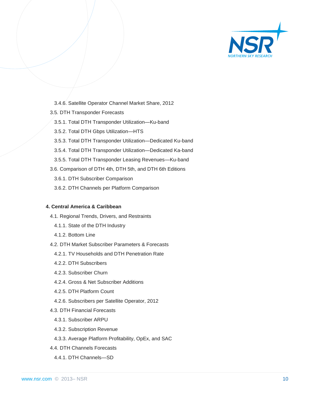

- 3.4.6. Satellite Operator Channel Market Share, 2012
- 3.5. DTH Transponder Forecasts
	- 3.5.1. Total DTH Transponder Utilization—Ku-band
	- 3.5.2. Total DTH Gbps Utilization—HTS
	- 3.5.3. Total DTH Transponder Utilization—Dedicated Ku-band
	- 3.5.4. Total DTH Transponder Utilization—Dedicated Ka-band
	- 3.5.5. Total DTH Transponder Leasing Revenues—Ku-band
- 3.6. Comparison of DTH 4th, DTH 5th, and DTH 6th Editions
	- 3.6.1. DTH Subscriber Comparison
	- 3.6.2. DTH Channels per Platform Comparison

#### **4. Central America & Caribbean**

- 4.1. Regional Trends, Drivers, and Restraints
	- 4.1.1. State of the DTH Industry
	- 4.1.2. Bottom Line
- 4.2. DTH Market Subscriber Parameters & Forecasts
	- 4.2.1. TV Households and DTH Penetration Rate
	- 4.2.2. DTH Subscribers
	- 4.2.3. Subscriber Churn
	- 4.2.4. Gross & Net Subscriber Additions
	- 4.2.5. DTH Platform Count
	- 4.2.6. Subscribers per Satellite Operator, 2012
- 4.3. DTH Financial Forecasts
	- 4.3.1. Subscriber ARPU
	- 4.3.2. Subscription Revenue
	- 4.3.3. Average Platform Profitability, OpEx, and SAC
- 4.4. DTH Channels Forecasts
	- 4.4.1. DTH Channels—SD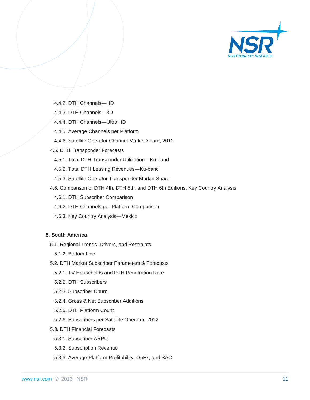

- 4.4.2. DTH Channels—HD
- 4.4.3. DTH Channels—3D
- 4.4.4. DTH Channels—Ultra HD
- 4.4.5. Average Channels per Platform
- 4.4.6. Satellite Operator Channel Market Share, 2012
- 4.5. DTH Transponder Forecasts
	- 4.5.1. Total DTH Transponder Utilization—Ku-band
	- 4.5.2. Total DTH Leasing Revenues—Ku-band
	- 4.5.3. Satellite Operator Transponder Market Share
- 4.6. Comparison of DTH 4th, DTH 5th, and DTH 6th Editions, Key Country Analysis
	- 4.6.1. DTH Subscriber Comparison
	- 4.6.2. DTH Channels per Platform Comparison
	- 4.6.3. Key Country Analysis—Mexico

#### **5. South America**

- 5.1. Regional Trends, Drivers, and Restraints
	- 5.1.2. Bottom Line
- 5.2. DTH Market Subscriber Parameters & Forecasts
	- 5.2.1. TV Households and DTH Penetration Rate
	- 5.2.2. DTH Subscribers
	- 5.2.3. Subscriber Churn
	- 5.2.4. Gross & Net Subscriber Additions
	- 5.2.5. DTH Platform Count
	- 5.2.6. Subscribers per Satellite Operator, 2012
- 5.3. DTH Financial Forecasts
	- 5.3.1. Subscriber ARPU
	- 5.3.2. Subscription Revenue
	- 5.3.3. Average Platform Profitability, OpEx, and SAC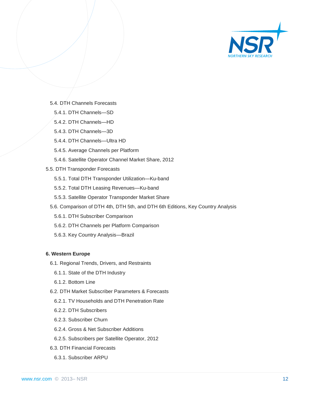

- 5.4. DTH Channels Forecasts
	- 5.4.1. DTH Channels—SD
	- 5.4.2. DTH Channels—HD
	- 5.4.3. DTH Channels—3D
	- 5.4.4. DTH Channels—Ultra HD
	- 5.4.5. Average Channels per Platform
	- 5.4.6. Satellite Operator Channel Market Share, 2012
- 5.5. DTH Transponder Forecasts
	- 5.5.1. Total DTH Transponder Utilization—Ku-band
	- 5.5.2. Total DTH Leasing Revenues—Ku-band
	- 5.5.3. Satellite Operator Transponder Market Share
	- 5.6. Comparison of DTH 4th, DTH 5th, and DTH 6th Editions, Key Country Analysis
		- 5.6.1. DTH Subscriber Comparison
		- 5.6.2. DTH Channels per Platform Comparison
		- 5.6.3. Key Country Analysis—Brazil

#### **6. Western Europe**

- 6.1. Regional Trends, Drivers, and Restraints
	- 6.1.1. State of the DTH Industry
	- 6.1.2. Bottom Line
- 6.2. DTH Market Subscriber Parameters & Forecasts
	- 6.2.1. TV Households and DTH Penetration Rate
	- 6.2.2. DTH Subscribers
	- 6.2.3. Subscriber Churn
	- 6.2.4. Gross & Net Subscriber Additions
	- 6.2.5. Subscribers per Satellite Operator, 2012
- 6.3. DTH Financial Forecasts
	- 6.3.1. Subscriber ARPU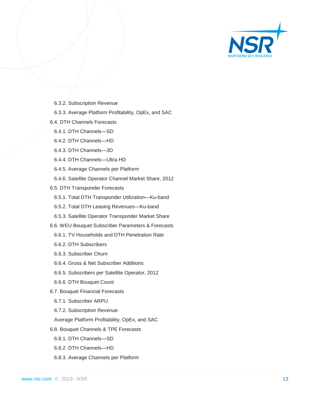

- 6.3.2. Subscription Revenue
- 6.3.3. Average Platform Profitability, OpEx, and SAC
- 6.4. DTH Channels Forecasts
	- 6.4.1. DTH Channels—SD
	- 6.4.2. DTH Channels—HD
	- 6.4.3. DTH Channels—3D
	- 6.4.4. DTH Channels—Ultra HD
	- 6.4.5. Average Channels per Platform
	- 6.4.6. Satellite Operator Channel Market Share, 2012
- 6.5. DTH Transponder Forecasts
	- 6.5.1. Total DTH Transponder Utilization—Ku-band
	- 6.5.2. Total DTH Leasing Revenues—Ku-band
	- 6.5.3. Satellite Operator Transponder Market Share
- 6.6. WEU Bouquet Subscriber Parameters & Forecasts
	- 6.6.1. TV Households and DTH Penetration Rate
	- 6.6.2. DTH Subscribers
	- 6.6.3. Subscriber Churn
	- 6.6.4. Gross & Net Subscriber Additions
	- 6.6.5. Subscribers per Satellite Operator, 2012
	- 6.6.6. DTH Bouquet Count
- 6.7. Bouquet Financial Forecasts
	- 6.7.1. Subscriber ARPU
	- 6.7.2. Subscription Revenue
	- Average Platform Profitability, OpEx, and SAC
- 6.8. Bouquet Channels & TPE Forecasts
	- 6.8.1. DTH Channels—SD
	- 6.8.2. DTH Channels—HD
	- 6.8.3. Average Channels per Platform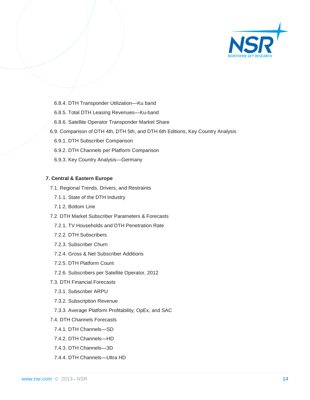

- 6.8.4. DTH Transponder Utilization—Ku band
- 6.8.5. Total DTH Leasing Revenues—Ku-band
- 6.8.6. Satellite Operator Transponder Market Share
- 6.9. Comparison of DTH 4th, DTH 5th, and DTH 6th Editions, Key Country Analysis
	- 6.9.1. DTH Subscriber Comparison
	- 6.9.2. DTH Channels per Platform Comparison
	- 6.9.3. Key Country Analysis—Germany

#### **7. Central & Eastern Europe**

- 7.1. Regional Trends, Drivers, and Restraints
	- 7.1.1. State of the DTH Industry
	- 7.1.2. Bottom Line
- 7.2. DTH Market Subscriber Parameters & Forecasts
	- 7.2.1. TV Households and DTH Penetration Rate
	- 7.2.2. DTH Subscribers
	- 7.2.3. Subscriber Churn
	- 7.2.4. Gross & Net Subscriber Additions
	- 7.2.5. DTH Platform Count
	- 7.2.6. Subscribers per Satellite Operator, 2012
- 7.3. DTH Financial Forecasts
	- 7.3.1. Subscriber ARPU
	- 7.3.2. Subscription Revenue
	- 7.3.3. Average Platform Profitability, OpEx, and SAC
- 7.4. DTH Channels Forecasts
	- 7.4.1. DTH Channels—SD
	- 7.4.2. DTH Channels—HD
	- 7.4.3. DTH Channels—3D
	- 7.4.4. DTH Channels—Ultra HD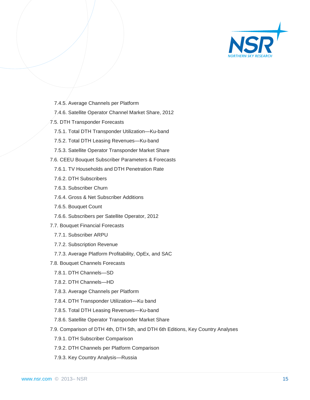

- 7.4.5. Average Channels per Platform
- 7.4.6. Satellite Operator Channel Market Share, 2012
- 7.5. DTH Transponder Forecasts
	- 7.5.1. Total DTH Transponder Utilization—Ku-band
	- 7.5.2. Total DTH Leasing Revenues—Ku-band
	- 7.5.3. Satellite Operator Transponder Market Share
- 7.6. CEEU Bouquet Subscriber Parameters & Forecasts
	- 7.6.1. TV Households and DTH Penetration Rate
	- 7.6.2. DTH Subscribers
	- 7.6.3. Subscriber Churn
	- 7.6.4. Gross & Net Subscriber Additions
	- 7.6.5. Bouquet Count
	- 7.6.6. Subscribers per Satellite Operator, 2012
- 7.7. Bouquet Financial Forecasts
	- 7.7.1. Subscriber ARPU
	- 7.7.2. Subscription Revenue
	- 7.7.3. Average Platform Profitability, OpEx, and SAC
- 7.8. Bouquet Channels Forecasts
	- 7.8.1. DTH Channels—SD
	- 7.8.2. DTH Channels—HD
	- 7.8.3. Average Channels per Platform
	- 7.8.4. DTH Transponder Utilization—Ku band
	- 7.8.5. Total DTH Leasing Revenues—Ku-band
	- 7.8.6. Satellite Operator Transponder Market Share
- 7.9. Comparison of DTH 4th, DTH 5th, and DTH 6th Editions, Key Country Analyses
	- 7.9.1. DTH Subscriber Comparison
	- 7.9.2. DTH Channels per Platform Comparison
	- 7.9.3. Key Country Analysis—Russia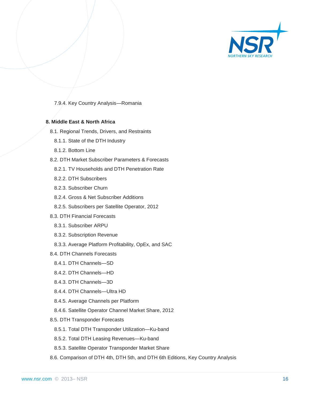

7.9.4. Key Country Analysis—Romania

#### **8. Middle East & North Africa**

- 8.1. Regional Trends, Drivers, and Restraints
	- 8.1.1. State of the DTH Industry
	- 8.1.2. Bottom Line
- 8.2. DTH Market Subscriber Parameters & Forecasts
	- 8.2.1. TV Households and DTH Penetration Rate
	- 8.2.2. DTH Subscribers
	- 8.2.3. Subscriber Churn
	- 8.2.4. Gross & Net Subscriber Additions
	- 8.2.5. Subscribers per Satellite Operator, 2012
- 8.3. DTH Financial Forecasts
	- 8.3.1. Subscriber ARPU
	- 8.3.2. Subscription Revenue
	- 8.3.3. Average Platform Profitability, OpEx, and SAC
- 8.4. DTH Channels Forecasts
	- 8.4.1. DTH Channels—SD
	- 8.4.2. DTH Channels—HD
	- 8.4.3. DTH Channels—3D
	- 8.4.4. DTH Channels—Ultra HD
	- 8.4.5. Average Channels per Platform
	- 8.4.6. Satellite Operator Channel Market Share, 2012
- 8.5. DTH Transponder Forecasts
	- 8.5.1. Total DTH Transponder Utilization—Ku-band
	- 8.5.2. Total DTH Leasing Revenues—Ku-band
	- 8.5.3. Satellite Operator Transponder Market Share
- 8.6. Comparison of DTH 4th, DTH 5th, and DTH 6th Editions, Key Country Analysis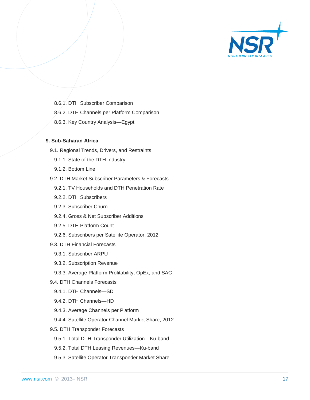

- 8.6.1. DTH Subscriber Comparison
- 8.6.2. DTH Channels per Platform Comparison
- 8.6.3. Key Country Analysis—Egypt

#### **9. Sub-Saharan Africa**

- 9.1. Regional Trends, Drivers, and Restraints
	- 9.1.1. State of the DTH Industry
	- 9.1.2. Bottom Line
- 9.2. DTH Market Subscriber Parameters & Forecasts
	- 9.2.1. TV Households and DTH Penetration Rate
	- 9.2.2. DTH Subscribers
	- 9.2.3. Subscriber Churn
	- 9.2.4. Gross & Net Subscriber Additions
	- 9.2.5. DTH Platform Count
	- 9.2.6. Subscribers per Satellite Operator, 2012
- 9.3. DTH Financial Forecasts
	- 9.3.1. Subscriber ARPU
	- 9.3.2. Subscription Revenue
	- 9.3.3. Average Platform Profitability, OpEx, and SAC
- 9.4. DTH Channels Forecasts
	- 9.4.1. DTH Channels—SD
	- 9.4.2. DTH Channels—HD
	- 9.4.3. Average Channels per Platform
	- 9.4.4. Satellite Operator Channel Market Share, 2012
- 9.5. DTH Transponder Forecasts
	- 9.5.1. Total DTH Transponder Utilization—Ku-band
	- 9.5.2. Total DTH Leasing Revenues—Ku-band
	- 9.5.3. Satellite Operator Transponder Market Share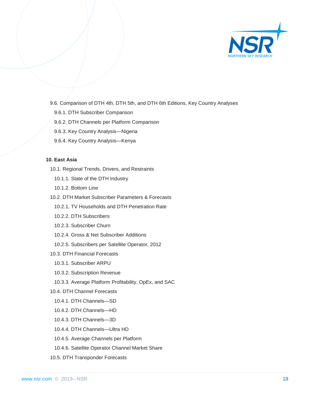

- 9.6. Comparison of DTH 4th, DTH 5th, and DTH 6th Editions, Key Country Analyses
	- 9.6.1. DTH Subscriber Comparison
	- 9.6.2. DTH Channels per Platform Comparison
	- 9.6.3. Key Country Analysis—Nigeria
	- 9.6.4. Key Country Analysis—Kenya

#### **10. East Asia**

- 10.1. Regional Trends, Drivers, and Restraints
	- 10.1.1. State of the DTH Industry
	- 10.1.2. Bottom Line
- 10.2. DTH Market Subscriber Parameters & Forecasts
	- 10.2.1. TV Households and DTH Penetration Rate
	- 10.2.2. DTH Subscribers
	- 10.2.3. Subscriber Churn
	- 10.2.4. Gross & Net Subscriber Additions
	- 10.2.5. Subscribers per Satellite Operator, 2012
- 10.3. DTH Financial Forecasts
	- 10.3.1. Subscriber ARPU
	- 10.3.2. Subscription Revenue
	- 10.3.3. Average Platform Profitability, OpEx, and SAC
- 10.4. DTH Channel Forecasts
	- 10.4.1. DTH Channels—SD
	- 10.4.2. DTH Channels—HD
	- 10.4.3. DTH Channels—3D
	- 10.4.4. DTH Channels—Ultra HD
	- 10.4.5. Average Channels per Platform
	- 10.4.6. Satellite Operator Channel Market Share
- 10.5. DTH Transponder Forecasts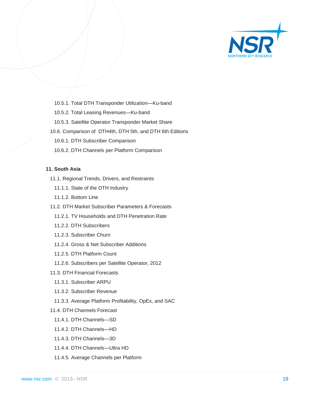

- 10.5.1. Total DTH Transponder Utilization—Ku-band
- 10.5.2. Total Leasing Revenues—Ku-band
- 10.5.3. Satellite Operator Transponder Market Share
- 10.6. Comparison of DTH4th, DTH 5th, and DTH 6th Editions
	- 10.6.1. DTH Subscriber Comparison
	- 10.6.2. DTH Channels per Platform Comparison

#### **11. South Asia**

- 11.1. Regional Trends, Drivers, and Restraints
	- 11.1.1. State of the DTH Industry
	- 11.1.2. Bottom Line
- 11.2. DTH Market Subscriber Parameters & Forecasts
	- 11.2.1. TV Households and DTH Penetration Rate
	- 11.2.2. DTH Subscribers
	- 11.2.3. Subscriber Churn
	- 11.2.4. Gross & Net Subscriber Additions
	- 11.2.5. DTH Platform Count
	- 11.2.6. Subscribers per Satellite Operator, 2012
- 11.3. DTH Financial Forecasts
	- 11.3.1. Subscriber ARPU
	- 11.3.2. Subscriber Revenue
	- 11.3.3. Average Platform Profitability, OpEx, and SAC
- 11.4. DTH Channels Forecast
	- 11.4.1. DTH Channels—SD
	- 11.4.2. DTH Channels—HD
	- 11.4.3. DTH Channels—3D
	- 11.4.4. DTH Channels—Ultra HD
	- 11.4.5. Average Channels per Platform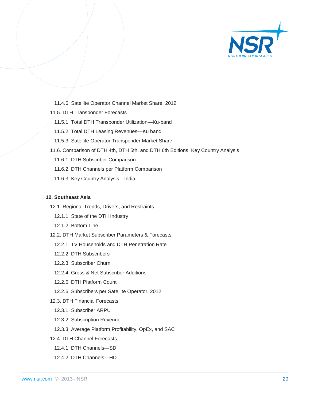

- 11.4.6. Satellite Operator Channel Market Share, 2012
- 11.5. DTH Transponder Forecasts
	- 11.5.1. Total DTH Transponder Utilization—Ku-band
	- 11.5.2. Total DTH Leasing Revenues—Ku band
	- 11.5.3. Satellite Operator Transponder Market Share
- 11.6. Comparison of DTH 4th, DTH 5th, and DTH 6th Editions, Key Country Analysis
	- 11.6.1. DTH Subscriber Comparison
	- 11.6.2. DTH Channels per Platform Comparison
	- 11.6.3. Key Country Analysis—India

#### **12. Southeast Asia**

- 12.1. Regional Trends, Drivers, and Restraints
	- 12.1.1. State of the DTH Industry
	- 12.1.2. Bottom Line
- 12.2. DTH Market Subscriber Parameters & Forecasts
	- 12.2.1. TV Households and DTH Penetration Rate
	- 12.2.2. DTH Subscribers
	- 12.2.3. Subscriber Churn
	- 12.2.4. Gross & Net Subscriber Additions
	- 12.2.5. DTH Platform Count
- 12.2.6. Subscribers per Satellite Operator, 2012
- 12.3. DTH Financial Forecasts
	- 12.3.1. Subscriber ARPU
	- 12.3.2. Subscription Revenue
	- 12.3.3. Average Platform Profitability, OpEx, and SAC
- 12.4. DTH Channel Forecasts
- 12.4.1. DTH Channels—SD
- 12.4.2. DTH Channels—HD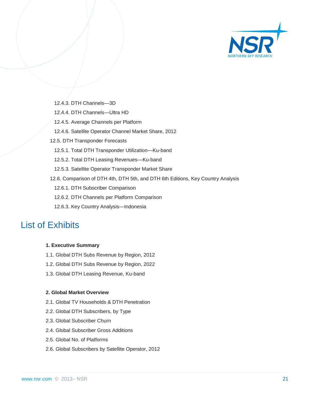

- 12.4.3. DTH Channels—3D
- 12.4.4. DTH Channels—Ultra HD
- 12.4.5. Average Channels per Platform
- 12.4.6. Satellite Operator Channel Market Share, 2012
- 12.5. DTH Transponder Forecasts
	- 12.5.1. Total DTH Transponder Utilization—Ku-band
	- 12.5.2. Total DTH Leasing Revenues—Ku-band
	- 12.5.3. Satellite Operator Transponder Market Share
- 12.6. Comparison of DTH 4th, DTH 5th, and DTH 6th Editions, Key Country Analysis
	- 12.6.1. DTH Subscriber Comparison
	- 12.6.2. DTH Channels per Platform Comparison
	- 12.6.3. Key Country Analysis—Indonesia

### List of Exhibits

#### **1. Executive Summary**

- 1.1. Global DTH Subs Revenue by Region, 2012
- 1.2. Global DTH Subs Revenue by Region, 2022
- 1.3. Global DTH Leasing Revenue, Ku-band

#### **2. Global Market Overview**

- 2.1. Global TV Households & DTH Penetration
- 2.2. Global DTH Subscribers, by Type
- 2.3. Global Subscriber Churn
- 2.4. Global Subscriber Gross Additions
- 2.5. Global No. of Platforms
- 2.6. Global Subscribers by Satellite Operator, 2012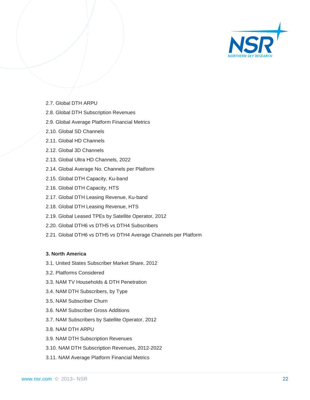

- 2.7. Global DTH ARPU
- 2.8. Global DTH Subscription Revenues
- 2.9. Global Average Platform Financial Metrics
- 2.10. Global SD Channels
- 2.11. Global HD Channels
- 2.12. Global 3D Channels
- 2.13. Global Ultra HD Channels, 2022
- 2.14. Global Average No. Channels per Platform
- 2.15. Global DTH Capacity, Ku-band
- 2.16. Global DTH Capacity, HTS
- 2.17. Global DTH Leasing Revenue, Ku-band
- 2.18. Global DTH Leasing Revenue, HTS
- 2.19. Global Leased TPEs by Satellite Operator, 2012
- 2.20. Global DTH6 vs DTH5 vs DTH4 Subscribers
- 2.21. Global DTH6 vs DTH5 vs DTH4 Average Channels per Platform

#### **3. North America**

- 3.1. United States Subscriber Market Share, 2012
- 3.2. Platforms Considered
- 3.3. NAM TV Households & DTH Penetration
- 3.4. NAM DTH Subscribers, by Type
- 3.5. NAM Subscriber Churn
- 3.6. NAM Subscriber Gross Additions
- 3.7. NAM Subscribers by Satellite Operator, 2012
- 3.8. NAM DTH ARPU
- 3.9. NAM DTH Subscription Revenues
- 3.10. NAM DTH Subscription Revenues, 2012-2022
- 3.11. NAM Average Platform Financial Metrics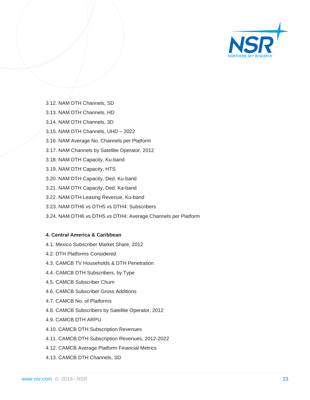

- 3.12. NAM DTH Channels, SD
- 3.13. NAM DTH Channels, HD
- 3.14. NAM DTH Channels, 3D
- 3.15. NAM DTH Channels, UHD 2022
- 3.16. NAM Average No. Channels per Platform
- 3.17. NAM Channels by Satellite Operator, 2012
- 3.18. NAM DTH Capacity, Ku-band
- 3.19. NAM DTH Capacity, HTS
- 3.20. NAM DTH Capacity, Ded. Ku-band
- 3.21. NAM DTH Capacity, Ded. Ka-band
- 3.22. NAM DTH Leasing Revenue, Ku-band
- 3.23. NAM DTH6 vs DTH5 vs DTH4: Subscribers
- 3.24. NAM DTH6 vs DTH5 vs DTH4: Average Channels per Platform

#### **4. Central America & Caribbean**

- 4.1. Mexico Subscriber Market Share, 2012
- 4.2. DTH Platforms Considered
- 4.3. CAMCB TV Households & DTH Penetration
- 4.4. CAMCB DTH Subscribers, by Type
- 4.5. CAMCB Subscriber Churn
- 4.6. CAMCB Subscriber Gross Additions
- 4.7. CAMCB No. of Platforms
- 4.8. CAMCB Subscribers by Satellite Operator, 2012
- 4.9. CAMCB DTH ARPU
- 4.10. CAMCB DTH Subscription Revenues
- 4.11. CAMCB DTH Subscription Revenues, 2012-2022
- 4.12. CAMCB Average Platform Financial Metrics
- 4.13. CAMCB DTH Channels, SD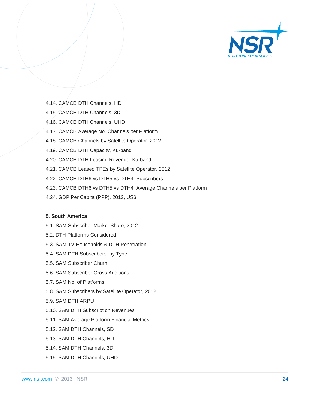

- 4.14. CAMCB DTH Channels, HD
- 4.15. CAMCB DTH Channels, 3D
- 4.16. CAMCB DTH Channels, UHD
- 4.17. CAMCB Average No. Channels per Platform
- 4.18. CAMCB Channels by Satellite Operator, 2012
- 4.19. CAMCB DTH Capacity, Ku-band
- 4.20. CAMCB DTH Leasing Revenue, Ku-band
- 4.21. CAMCB Leased TPEs by Satellite Operator, 2012
- 4.22. CAMCB DTH6 vs DTH5 vs DTH4: Subscribers
- 4.23. CAMCB DTH6 vs DTH5 vs DTH4: Average Channels per Platform
- 4.24. GDP Per Capita (PPP), 2012, US\$

#### **5. South America**

- 5.1. SAM Subscriber Market Share, 2012
- 5.2. DTH Platforms Considered
- 5.3. SAM TV Households & DTH Penetration
- 5.4. SAM DTH Subscribers, by Type
- 5.5. SAM Subscriber Churn
- 5.6. SAM Subscriber Gross Additions
- 5.7. SAM No. of Platforms
- 5.8. SAM Subscribers by Satellite Operator, 2012
- 5.9. SAM DTH ARPU
- 5.10. SAM DTH Subscription Revenues
- 5.11. SAM Average Platform Financial Metrics
- 5.12. SAM DTH Channels, SD
- 5.13. SAM DTH Channels, HD
- 5.14. SAM DTH Channels, 3D
- 5.15. SAM DTH Channels, UHD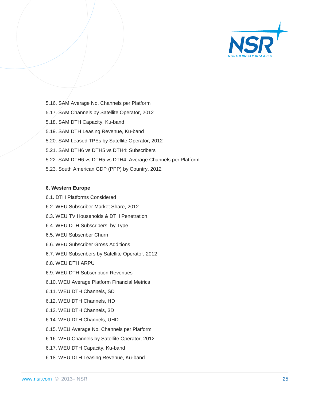

- 5.16. SAM Average No. Channels per Platform
- 5.17. SAM Channels by Satellite Operator, 2012
- 5.18. SAM DTH Capacity, Ku-band
- 5.19. SAM DTH Leasing Revenue, Ku-band
- 5.20. SAM Leased TPEs by Satellite Operator, 2012
- 5.21. SAM DTH6 vs DTH5 vs DTH4: Subscribers
- 5.22. SAM DTH6 vs DTH5 vs DTH4: Average Channels per Platform
- 5.23. South American GDP (PPP) by Country, 2012

#### **6. Western Europe**

- 6.1. DTH Platforms Considered
- 6.2. WEU Subscriber Market Share, 2012
- 6.3. WEU TV Households & DTH Penetration
- 6.4. WEU DTH Subscribers, by Type
- 6.5. WEU Subscriber Churn
- 6.6. WEU Subscriber Gross Additions
- 6.7. WEU Subscribers by Satellite Operator, 2012
- 6.8. WEU DTH ARPU
- 6.9. WEU DTH Subscription Revenues
- 6.10. WEU Average Platform Financial Metrics
- 6.11. WEU DTH Channels, SD
- 6.12. WEU DTH Channels, HD
- 6.13. WEU DTH Channels, 3D
- 6.14. WEU DTH Channels, UHD
- 6.15. WEU Average No. Channels per Platform
- 6.16. WEU Channels by Satellite Operator, 2012
- 6.17. WEU DTH Capacity, Ku-band
- 6.18. WEU DTH Leasing Revenue, Ku-band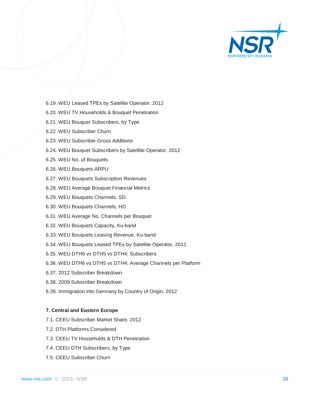

- 6.19. WEU Leased TPEs by Satellite Operator, 2012
- 6.20. WEU TV Households & Bouquet Penetration
- 6.21. WEU Bouquet Subscribers, by Type
- 6.22. WEU Subscriber Churn
- 6.23. WEU Subscriber Gross Additions
- 6.24. WEU Bouquet Subscribers by Satellite Operator, 2012
- 6.25. WEU No. of Bouquets
- 6.26. WEU Bouquets ARPU
- 6.27. WEU Bouquets Subscription Revenues
- 6.28. WEU Average Bouquet Financial Metrics
- 6.29. WEU Bouquets Channels, SD
- 6.30. WEU Bouquets Channels, HD
- 6.31. WEU Average No. Channels per Bouquet
- 6.32. WEU Bouquets Capacity, Ku-band
- 6.33. WEU Bouquets Leasing Revenue, Ku-band
- 6.34. WEU Bouquets Leased TPEs by Satellite Operator, 2012
- 6.35. WEU DTH6 vs DTH5 vs DTH4: Subscribers
- 6.36. WEU DTH6 vs DTH5 vs DTH4: Average Channels per Platform
- 6.37. 2012 Subscriber Breakdown
- 6.38. 2009 Subscriber Breakdown
- 6.39. Immigration into Germany by Country of Origin, 2012

#### **7. Central and Eastern Europe**

- 7.1. CEEU Subscriber Market Share, 2012
- 7.2. DTH Platforms Considered
- 7.3. CEEU TV Households & DTH Penetration
- 7.4. CEEU DTH Subscribers, by Type
- 7.5. CEEU Subscriber Churn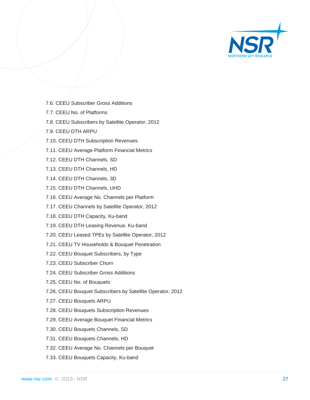

- 7.6. CEEU Subscriber Gross Additions
- 7.7. CEEU No. of Platforms
- 7.8. CEEU Subscribers by Satellite Operator, 2012
- 7.9. CEEU DTH ARPU
- 7.10. CEEU DTH Subscription Revenues
- 7.11. CEEU Average Platform Financial Metrics
- 7.12. CEEU DTH Channels, SD
- 7.13. CEEU DTH Channels, HD
- 7.14. CEEU DTH Channels, 3D
- 7.15. CEEU DTH Channels, UHD
- 7.16. CEEU Average No. Channels per Platform
- 7.17. CEEU Channels by Satellite Operator, 2012
- 7.18. CEEU DTH Capacity, Ku-band
- 7.19. CEEU DTH Leasing Revenue, Ku-band
- 7.20. CEEU Leased TPEs by Satellite Operator, 2012
- 7.21. CEEU TV Households & Bouquet Penetration
- 7.22. CEEU Bouquet Subscribers, by Type
- 7.23. CEEU Subscriber Churn
- 7.24. CEEU Subscriber Gross Additions
- 7.25. CEEU No. of Bouquets
- 7.26. CEEU Bouquet Subscribers by Satellite Operator, 2012
- 7.27. CEEU Bouquets ARPU
- 7.28. CEEU Bouquets Subscription Revenues
- 7.29. CEEU Average Bouquet Financial Metrics
- 7.30. CEEU Bouquets Channels, SD
- 7.31. CEEU Bouquets Channels, HD
- 7.32. CEEU Average No. Channels per Bouquet
- 7.33. CEEU Bouquets Capacity, Ku-band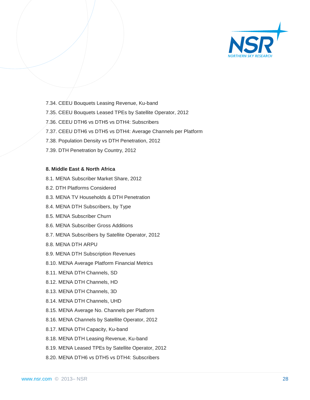

- 7.34. CEEU Bouquets Leasing Revenue, Ku-band
- 7.35. CEEU Bouquets Leased TPEs by Satellite Operator, 2012
- 7.36. CEEU DTH6 vs DTH5 vs DTH4: Subscribers
- 7.37. CEEU DTH6 vs DTH5 vs DTH4: Average Channels per Platform
- 7.38. Population Density vs DTH Penetration, 2012
- 7.39. DTH Penetration by Country, 2012

#### **8. Middle East & North Africa**

- 8.1. MENA Subscriber Market Share, 2012
- 8.2. DTH Platforms Considered
- 8.3. MENA TV Households & DTH Penetration
- 8.4. MENA DTH Subscribers, by Type
- 8.5. MENA Subscriber Churn
- 8.6. MENA Subscriber Gross Additions
- 8.7. MENA Subscribers by Satellite Operator, 2012
- 8.8. MENA DTH ARPU
- 8.9. MENA DTH Subscription Revenues
- 8.10. MENA Average Platform Financial Metrics
- 8.11. MENA DTH Channels, SD
- 8.12. MENA DTH Channels, HD
- 8.13. MENA DTH Channels, 3D
- 8.14. MENA DTH Channels, UHD
- 8.15. MENA Average No. Channels per Platform
- 8.16. MENA Channels by Satellite Operator, 2012
- 8.17. MENA DTH Capacity, Ku-band
- 8.18. MENA DTH Leasing Revenue, Ku-band
- 8.19. MENA Leased TPEs by Satellite Operator, 2012
- 8.20. MENA DTH6 vs DTH5 vs DTH4: Subscribers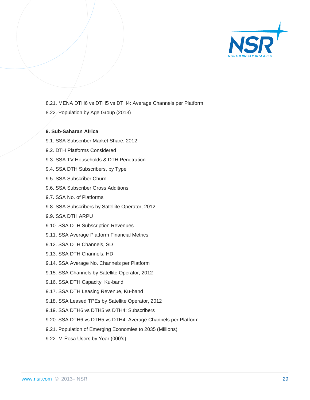

- 8.21. MENA DTH6 vs DTH5 vs DTH4: Average Channels per Platform
- 8.22. Population by Age Group (2013)

#### **9. Sub-Saharan Africa**

- 9.1. SSA Subscriber Market Share, 2012
- 9.2. DTH Platforms Considered
- 9.3. SSA TV Households & DTH Penetration
- 9.4. SSA DTH Subscribers, by Type
- 9.5. SSA Subscriber Churn
- 9.6. SSA Subscriber Gross Additions
- 9.7. SSA No. of Platforms
- 9.8. SSA Subscribers by Satellite Operator, 2012
- 9.9. SSA DTH ARPU
- 9.10. SSA DTH Subscription Revenues
- 9.11. SSA Average Platform Financial Metrics
- 9.12. SSA DTH Channels, SD
- 9.13. SSA DTH Channels, HD
- 9.14. SSA Average No. Channels per Platform
- 9.15. SSA Channels by Satellite Operator, 2012
- 9.16. SSA DTH Capacity, Ku-band
- 9.17. SSA DTH Leasing Revenue, Ku-band
- 9.18. SSA Leased TPEs by Satellite Operator, 2012
- 9.19. SSA DTH6 vs DTH5 vs DTH4: Subscribers
- 9.20. SSA DTH6 vs DTH5 vs DTH4: Average Channels per Platform
- 9.21. Population of Emerging Economies to 2035 (Millions)
- 9.22. M-Pesa Users by Year (000's)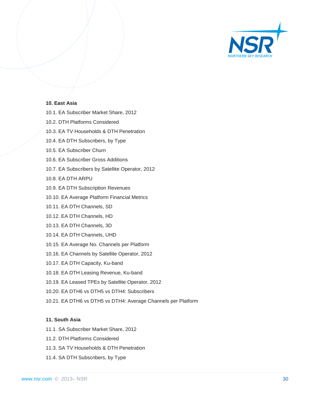

#### **10. East Asia**

- 10.1. EA Subscriber Market Share, 2012
- 10.2. DTH Platforms Considered
- 10.3. EA TV Households & DTH Penetration
- 10.4. EA DTH Subscribers, by Type
- 10.5. EA Subscriber Churn
- 10.6. EA Subscriber Gross Additions
- 10.7. EA Subscribers by Satellite Operator, 2012
- 10.8. EA DTH ARPU
- 10.9. EA DTH Subscription Revenues
- 10.10. EA Average Platform Financial Metrics
- 10.11. EA DTH Channels, SD
- 10.12. EA DTH Channels, HD
- 10.13. EA DTH Channels, 3D
- 10.14. EA DTH Channels, UHD
- 10.15. EA Average No. Channels per Platform
- 10.16. EA Channels by Satellite Operator, 2012
- 10.17. EA DTH Capacity, Ku-band
- 10.18. EA DTH Leasing Revenue, Ku-band
- 10.19. EA Leased TPEs by Satellite Operator, 2012
- 10.20. EA DTH6 vs DTH5 vs DTH4: Subscribers
- 10.21. EA DTH6 vs DTH5 vs DTH4: Average Channels per Platform

#### **11. South Asia**

- 11.1. SA Subscriber Market Share, 2012
- 11.2. DTH Platforms Considered
- 11.3. SA TV Households & DTH Penetration
- 11.4. SA DTH Subscribers, by Type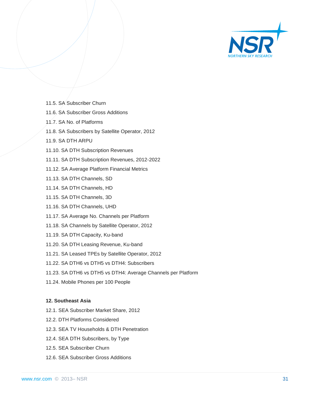

- 11.5. SA Subscriber Churn
- 11.6. SA Subscriber Gross Additions
- 11.7. SA No. of Platforms
- 11.8. SA Subscribers by Satellite Operator, 2012
- 11.9. SA DTH ARPU
- 11.10. SA DTH Subscription Revenues
- 11.11. SA DTH Subscription Revenues, 2012-2022
- 11.12. SA Average Platform Financial Metrics
- 11.13. SA DTH Channels, SD
- 11.14. SA DTH Channels, HD
- 11.15. SA DTH Channels, 3D
- 11.16. SA DTH Channels, UHD
- 11.17. SA Average No. Channels per Platform
- 11.18. SA Channels by Satellite Operator, 2012
- 11.19. SA DTH Capacity, Ku-band
- 11.20. SA DTH Leasing Revenue, Ku-band
- 11.21. SA Leased TPEs by Satellite Operator, 2012
- 11.22. SA DTH6 vs DTH5 vs DTH4: Subscribers
- 11.23. SA DTH6 vs DTH5 vs DTH4: Average Channels per Platform
- 11.24. Mobile Phones per 100 People

#### **12. Southeast Asia**

- 12.1. SEA Subscriber Market Share, 2012
- 12.2. DTH Platforms Considered
- 12.3. SEA TV Households & DTH Penetration
- 12.4. SEA DTH Subscribers, by Type
- 12.5. SEA Subscriber Churn
- 12.6. SEA Subscriber Gross Additions